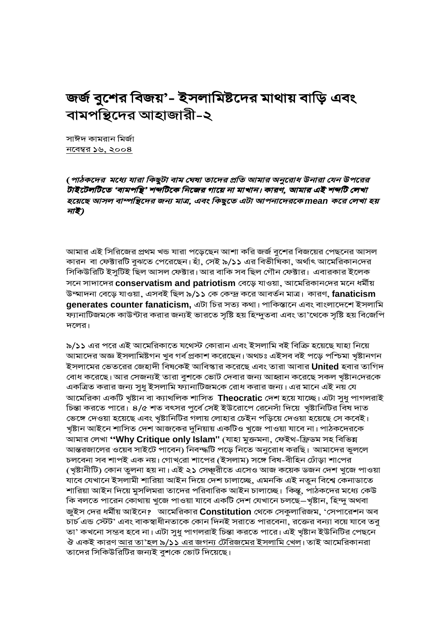# জর্জ বুশের বিজয়'- ইসলামিষ্টদের মাথায় বাড়ি এবং বামপন্থিদের আহাজারী-২

সাঈদ কামরান মির্জা নবেম্বর ১৬, ২০০৪

(পাঠকদের মধ্যে যারা কিছুটা বাম ঘেষা তাদের প্রতি আমার অনুরোধ উনারা যেন উপরের টাইটেলটিতে 'বামপস্থি' শব্দটিকে নিজের গায়ে না মাখান। কারণ, আমার এই শব্দটি লেখা হয়েছে আসল বাম্পছিদের জন্য মাত্র, এবং কিছুতে এটা আপনাদেরকে mean *করে লেখা হয়* নাই)

আমার এই সিরিজের প্রথম খন্ড যারা পড়েছেন আশা করি জর্জ বুশের বিজয়ের পেছনের আসল কারন বা ফেক্টারটি বুঝতে পেরেছেন। হাঁ, সেই ৯/১১ এর বিভীষিকা, অর্থাৎ আমেরিকানদের সিকিউরিটি ইসুটিই ছিল আসল ফেক্টার। আর বাকি সব ছিল গৌন ফেক্টার। এবারকার ইলেক সনে সাদাদের conservatism and patriotism বেড়ে যাওয়া, আমেরিকানদের মনে ধর্মীয় উম্মাদনা বেড়ে যাওয়া, এসবই ছিল ৯/১১ কে কেন্দ্র করে আবর্তন মাত্র। কারণ, fanaticism generates counter fanaticism, এটা চির সত্য কথা। পাকিস্তানে এবং বাংলাদেশে ইসলামি ফ্যানাটিজমকে কাউন্টার করার জন্যই ভারতে সৃষ্টি হয় হিন্দুতবা এবং তা'থেকে সৃষ্টি হয় বিজেপি দলের।

৯/১১ এর পরে এই আমেরিকাতে যথেস্ট কোরান এবং ইসলামি বই বিক্রি হয়েছে যাহা নিয়ে আমাদের অজ্ঞ ইসলামিষ্টগন খুব গর্ব প্রকাশ করেছেন। অথচঃ এইসব বই পড়ে পশ্চিমা খৃষ্টানগন ইসলামের ভেতরের জেহাদী বিষকেই আবিস্কার করেছে এবং তারা আবার United হবার তাগিদ বোধ করেছে। আর সেজন্যই তারা বুশকে ভোট দেবার জন্য আহ্বান করেছে সকল খৃষ্টানদেরকে একত্রিত করার জন্য সুধু ইসলামি ফ্যানাটিজমকে রোধ করার জন্য। এর মানে এই নয় যে আমেরিকা একটি খৃষ্টান বা ক্যাথলিক শাসিত Theocratic দেশ হয়ে যাচ্ছে। এটা সুধু পাগলরাই চিন্তা করতে পারে। ৪/৫ শত বৎসর পুর্বে সেই ইউরোপে রেনেসাঁ দিয়ে খৃষ্টানিটির বিষ দাত ভেঙ্গে দেওয়া হয়েছে এবং খৃষ্টানিটির গলায় লোহার চেইন পড়িয়ে দেওয়া হয়েছে সে কবেই। খৃষ্টান আইনে শাসিত দেশ আজকের দুনিয়ায় একটিও খুজে পাওয়া যাবে না। পাঠকদেরকে আমার লেখা "Why Critique only Islam" (যাহা মুক্তমনা, ফেইথ-ফ্রিডম সহ বিভিন্ন আন্তরজালের ওয়েব সাইটে পাবেন) নিবম্দ্ধটি পড়ে নিতে অনুরোধ করছি। আমাদের ভুললে চলবেনা সব শাপই এক নয়। গোখ্রো শাপের (ইসলাম) সঙ্গে বিষ-বীহিন ঢোঁড়া শাপের (খৃষ্টানীটি) কোন তুলনা হয় না। এই ২১ সেঞ্চুরীতে এসেও আজ কয়েক ডজন দেশ খুজে পাওয়া যাবে যেখানে ইসলামী শারিয়া আইন দিয়ে দেশ চালাচ্ছে, এমনকি এই নতুন বিশ্বে কেনাডাতে শারিয়া আইন দিয়ে মুসলিমরা তাদের পরিবারিক আইন চালাচ্ছে। কিন্তু, পাঠকদের মধ্যে কেউ কি বলতে পারেন কোথায় খুজে পাওয়া যাবে একটি দেশ যেখানে চলছে–খৃষ্টান, হিন্দু অথবা জুইস দের ধর্মীয় আইনে? আমেরিকার Constitution থেকে সেকুলারিজম, 'সেপারেশন অব চার্চ এন্ড স্টেট' এবং বাকস্বাধীনতাকে কোন দিনই সরাতে পারবেনা, রক্তের বন্যা বয়ে যাবে তবু তা' কখনো সম্ভব হবে না। এটা সুধু পাগলরাই চিন্তা করতে পারে। এই খৃষ্টান ইউনিটির পেছনে ঔ একই কারণ আর তা'হল ৯/১১ এর জগন্য টেরিজমের ইসলামি খেল। তাই আমেরিকানরা তাদের সিকিউরিটির জন্যই বুশকে ভোট দিয়েছে।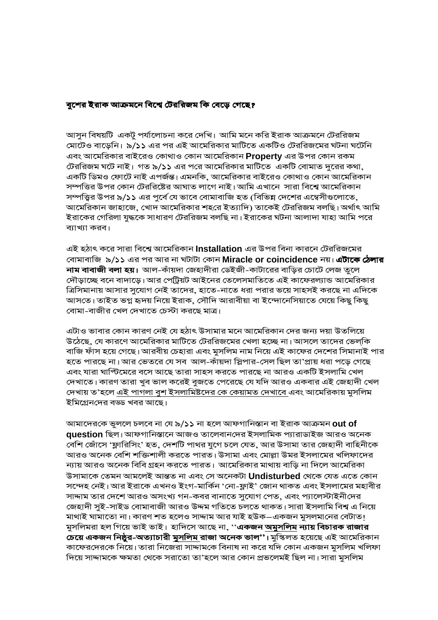#### বুশের ইরাক আক্রমনে বিশ্বে টেররিজম কি বেড়ে গেছে?

আসুন বিষয়টি একটু পর্যালোচনা করে দেখি। আমি মনে করি ইরাক আক্রমনে টেররিজম মোটেও বাড়েনি। ৯/১১ এর পর এই আমেরিকার মাটিতে একটিও টেররিজমের ঘটনা ঘটেনি এবং আমেরিকার বাইরেও কোথাও কোন আমেরিকান Property এর উপর কোন রকম টেররিজম ঘটে নাই। গত ৯/১১ এর পরে আমেরিকার মাটিতে একটি বোমাত দুরের কথা, একটি ডিমও ফোটে নাই এপর্জন্ত। এমনকি, আমেরিকার বাইরেও কোথাও কোন আমেরিকান সম্পত্তির উপর কোন টেররিষ্টের আঘাত লাগে নাই। আমি এখানে সারা বিশ্বে আমেরিকান সম্পত্ত্বির উপর ৯/১১ এর পুর্বে যে ভাবে বোমাবাজি হত (বিভিন্ন দেশের এম্বেসীগুলোতে, আমেরিকান জাহাজে, খোদ আমেরিকার শহরে ইত্যাদি) তাকেই টেররিজম বলছি। অর্থাৎ আমি ইরাকের গেরিলা যুদ্ধকে সাধারণ টেররিজম বলছি না। ইরাকের ঘটনা আলাদা যাহা আমি পরে ব্যাখ্যা করব।

এই হঠাৎ করে সারা বিশ্বে আমেরিকান **Installation** এর উপর বিনা কারনে টেররিজমের বোমাবাজি ৯/১১ এর পর আর না ঘটাটা কোন **Miracle or coincidence** নয়। **এটাকে ঠেলার নাম বাবাজী বলা হয়।** আল-কাঁয়দা জেহাদীরা ডেইজী-কাটারের বাড়ির চোটে লেজ তুলে দৌড়াচ্ছে বনে বাদাড়ে। আর পেট্রিয়ট আইনের তেলেসমাতিতে এই কাফেরল্যান্ড আমেরিকার ত্রিসিমানায় আসার সুযোগ নেই তাদের, হাতে-নাতে ধরা পরার ভয়ে সাহসই করছে না এদিকে আসতে। তাইত ভগ্ন হৃদয় নিয়ে ইরাক, সৌদি আরাবীয়া বা ইন্দোনেসিয়াতে যেয়ে কিছু কিছু বোমা-বাজীর খেল দেখাতে চেস্টা করছে মাত্র।

এটাও ভাবার কোন কারণ নেই যে হঠাৎ উসামার মনে আমেরিকান দের জন্য দয়া উতলিয়ে উঠেছে, যে কারণে আমেরিকার মাটিতে টেররিজমের খেলা হচ্ছে না। আসলে তাদের ভেল্কি বাজি ফাঁস হয়ে গেছে। আরবীয় চেহারা এবং মুসলিম নাম নিয়ে এই কাফের দেশের সিমানাই পার হতে পারছে না। আর ভেতরে যে সব আল-কাঁয়দা স্লিপার-সেল ছিল তা'প্রায় ধরা পড়ে গেছে এবং যারা ঘাস্টিমেরে বসে আছে তারা সাহস করতে পারছে না আরও একটি ইসলামি খেল দেখাতে। কারণ তারা খুব ভাল করেই বুজতে পেরেছে যে যদি আরও একবার এই জেহাদী খেল দেখায় ত'হলে <u>এই পাগলা বুশ ইসলামিষ্টদের কে কেয়ামত দেখাবে এ</u>বং আমেরিকায় মুসলিম ইমিগ্রেনদের বড্ড খবর আছে।

আমাদেরকে ভুললে চলবে না যে ৯/১১ না হলে আফগানিস্তান বা ইরাক আক্রমন out of question ছিল। আফগানিস্তানে আজও তালেবানদের ইসলামিক প্যারাডাইজ আরও অনেক বেশি জোঁসে 'ফ্লারিসিং' হত, দেশটি পাথর যুগে চলে যেত, আর উসামা তার জেহাদী বাহিনীকে আরও অনেক বেশি শক্তিশালী করতে পারত। উসামা এবং মোল্লা উমর ইসলামের খলিফাদের ন্যায় আরও অনেক বিবি গ্রহন করতে পারত। আমেরিকার মাথায় বাড়ি না দিলে আমেরিকা উসামাকে তেমন আমলেই আন্তত না এবং সে অনেকটা Undisturbed থেকে যেত এতে কোন সন্দেহ নেই। আর ইরাকে এখনও ইংগ-মার্কিন 'নো-ফ্লাই' জোন থাকত এবং ইসলামের মহাবীর সাদ্দাম তার দেশে আরও অসংখ্য গন-কবর বানাতে সুযোগ পেত, এবং প্যালেস্টাইনীদের জেহাদী সুই-সাইড বোমাবাজী আরও উদ্দম গতিতে চলতে থাকত। সারা ইসলামি বিশ্ব এ নিয়ে মাথাই ঘামাতো না। কারণ শত হলেও সাদ্দাম আর যাই হউক–একজন মুসলমানের বেটাত! মুসলিমরা হল গিয়ে ভাই ভাই। হাদিসে আছে না, ''**একজন <u>অমুসলিম</u> ন্যায় বিচারক রাজার চেয়ে একজন নিষ্ঠুর-অত্যাচারী মুসলিম রাজা অনেক ভাল''।** মুস্কিলত হয়েছে এই আমেরিকান কাফেরদেরকে নিয়ে। তারা নিজেরা সাদ্দামকে বিনাষ না করে যদি কোন একজন মুসলিম খলিফা দিয়ে সাদ্দামকে ক্ষমতা থেকে সরাতো তা'হলে আর কোন প্রভলেমই ছিল না। সারা মুসলিম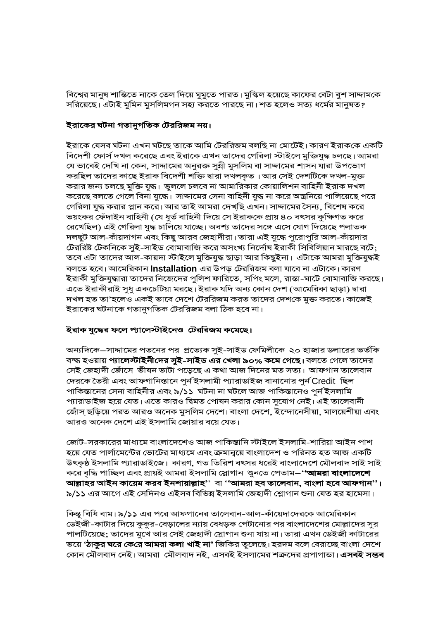বিশ্বের মানুষ শান্তিতে নাকে তেল দিয়ে ঘুমুতে পারত। মুস্কিল হয়েছে কাফের বেটা বুশ সাদ্দামকে সরিয়েছে। এটাই মুমিন মুসলিমগন সহ্য করতে পারছে না। শত হলেও সত্য ধর্মের মানুষত?

## ইরাকের ঘটনা গতানুগতিক টেররিজম নয়।

ইরাকে যেসব ঘটনা এখন ঘটছে তাকে আমি টেররিজম বলছি না মোটেই। কারণ ইরাককে একটি বিদেশী ফোর্স দখল করেছে এবং ইরাকে এখন তাদের গেরিলা স্টাইলে মুক্তিযুদ্ধ চলছে। আমরা যে ভাবেই দেখি না কেন, সাদ্দামের অনুরক্ত সুন্নী মুসলিম বা সাদ্দামের শাসন যারা উপভোগ করছিল তাদের কাছে ইরাক বিদেশী শক্তি দ্বারা দখলকৃত । আর সেই দেশটিকে দখল-মুক্ত করার জন্য চলছে মুক্তি যুদ্ধ। ভুললে চলবে না আমারিকার কোয়ালিশন বাহিনী ইরাক দখল করেছে বলতে গেলে বিনা যুদ্ধে। সাদ্দামের সেনা বাহিনী যুদ্ধ না করে অস্ত্রনিয়ে পালিয়েছে পরে গেরিলা যুদ্ধ করার প্লান করে। আর তাই আমরা দেখ্ছি এখন। সাদ্দামের সৈন্য, বিশেষ করে ভয়ংকর ফেঁদাইন বাহিনী (যে ধুর্ত বাহিনী দিয়ে সে ইরাককে প্রায় ৪০ বৎসর কুক্ষিগত করে রেখেছিল) এই গেরিলা যুদ্ধ চালিয়ে যাচ্ছে। অবশ্য তাদের সঙ্গে এসে যোগ দিয়েছে পলাতক দলছুট আল-কাঁয়দাগন এবং কিছু আরব জেহাদীরা। তারা এই যুদ্ধে পুরোপুরি আল-কাঁয়দার টেররিষ্ট টেকনিকে সুই-সাইড বোমাবাজি করে অসংখ্য নির্দোষ ইরাকী সিবিলিয়ান মারছে বটে; তবে এটা তাদের আল-কায়দা স্টাইলে মুক্তিযুদ্ধ ছাড়া আর কিছুইনা। এটাকে আমরা মুক্তিযুদ্ধই বলতে হবে। আমেরিকান **Installation** এর উপড় টেররিজম বলা যাবে না এটাকে। কারণ ইরাকী মুক্তিযুদ্ধারা তাদের নিজেদের পুলিশ ফারিতে, সপিং মলে, রাস্তা-ঘাটে বোমাবাজি করছে। এতে ইরাকীরাই সুধু একচেটিয়া মরছে। ইরাক যদি অন্য কোন দেশ (আমেরিকা ছাড়া) দ্বারা দখল হত তা'হলেও একই ভাবে দেশে টেররিজম করত তাদের দেশকে মুক্ত করতে। কাজেই ইরাকের ঘটনাকে গতানুগতিক টেররিজম বলা ঠিক হবে না।

# ইরাক যুদ্ধের ফলে প্যালেস্টাইনেও টেররিজম কমেছে।

অন্যদিকে–সাদ্দামের পতনের পর প্রত্যেক সুই-সাইড ফেমিলীকে ২০ হাজার ডলারের ভর্তকি বন্দ্ধ হওয়ায় প্যালেস্টাইনীদের সুই-সাইড এর খেলা ৯০% কমে গেছে। বলতে গেলে তাদের সেই জেহাদী জোঁসে ভীষন ভাটা পড়েছে এ কথা আজ দিনের মত সত্য। আফগান তালেবান দেরকে তৈরী এবং আফগানিস্তানে পুর্ন ইসলামী প্যারাডাইজ বানানোর পুর্ন Credit ছিল পাকিস্তানের সেনা বাহিনীর এবং ৯/১১ ঘটনা না ঘটলে আজ পাকিস্তানেও পুর্ন ইসলামি প্যারাডাইজ হয়ে যেত। এতে কারও দ্বিমত পোষন করার কোন সুযোগ নেই। এই তালেবানী জোঁস্ ছড়িয়ে পরত আরও অনেক মুসলিম দেশে। বাংলা দেশে, ইন্দোনেসীয়া, মালয়েশীয়া এবং আরও অনেক দেশে এই ইসলামি জোয়ার বয়ে যেত।

জোট-সরকারের মাধ্যমে বাংলাদেশেও আজ পাকিস্তানি স্টাইলে ইসলামি-শারিয়া আইন পাশ হয়ে যেত পার্লামেন্টের ভোটের মাধ্যমে এবং ক্রমান্বয়ে বাংলাদেশ ও পরিনত হত আজ একটি উৎকৃষ্ঠ ইসলামি প্যারাডাইজে। কারণ, গত তিরিশ বৎসর ধরেই বাংলাদেশে মৌলবাদ সাই সাই করে বৃদ্ধি পাচ্ছিল এবং প্রায়ই আমরা ইসলামি স্লোগান শ্তুনতে পেতাম–'**'আমরা বাংলাদেশে** আল্লাহর আইন কায়েম করব ইনশায়াল্লাহ'' বা ''আমরা হব তালেবান, বাংলা হবে আফগান''। ৯/১১ এর আগে এই সেদিনও এইসব বিভিন্ন ইসলামি জেহাদী শ্লোগান শুনা যেত হর হামেসা।

কিন্তু বিধি বাম। ৯/১১ এর পরে আফগানের তালেবান-আল-কাঁয়েদাদেরকে আমেরিকান ডেইজী-কাটার দিয়ে কুকুর-বেড়ালের ন্যায় বেধড়ক পেটানোর পর বাংলাদেশের মোল্লাদের সুর পালটিয়েছে; তাদের মুখে আর সেই জেহাদী স্লোগান শুনা যায় না। তারা এখন ডেইজী কাটারের ভয়ে '**ঠাকুর ঘরে কেরে আমরা কলা খাই না'** জিকির তুলেছে। হরদম বলে বেরাচ্ছে বাংলা দেশে কোন মৌলবাদ নেই।আমরা মৌলবাদ নই, এসবই ইসলামের শত্রুদের প্রপাগান্ডা। **এসবই সন্তব**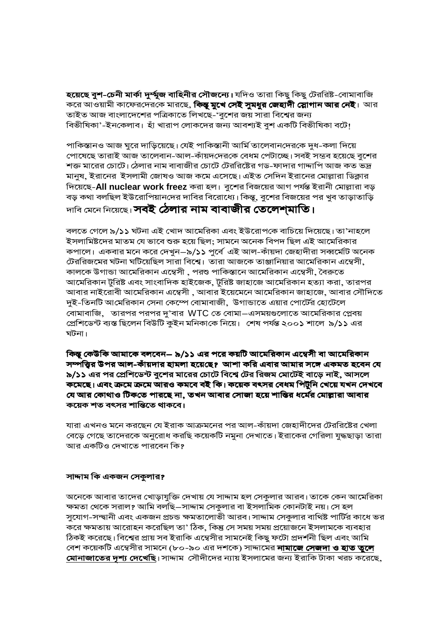**হয়েছে বুশ-চেনী মার্কা দুর্স্মূজ বাহিনীর সৌজন্যে।** যদিও তারা কিছু কিছু টেররিষ্ট-বোমাবাজি করে আওয়ামী কাফেরদেরকে মারছে, **কিন্তূ মূখে সেই সুমধুর জেহাদী স্লোগান আর নেই**। আর তাইত আজ বাংলাদেশের পত্রিকাতে লিখছে-'বুশের জয় সারা বিশ্বের জন্য বিভীষিকা'-ইনকেলাব। হাঁ খারাপ লোকদের জন্য আবশ্যই বুশ একটি বিভীষিকা বটে!

পাকিস্তানও আজ ঘুরে দাড়িয়েছে। যেই পাকিস্তানী আর্মি তালেবানদেরকে দুধ-কলা দিয়ে পোষেছে তারাই আজ তালেবান-আল-কাঁয়দদেরকে বেধম পেটাচ্ছে। সবই সম্ভব হয়েছে বুশের শক্ত মারের চোটে। ঠেলার নাম বাবাজীর চোটে টেররিষ্টের গড-ফাদার গাদ্দাপি আজ কত ভদ্র মানুষ, ইরানের ইসলামী জোষও আজ কমে এসেছে। এইত সেদিন ইরানের মোল্লারা ডিক্লার দিয়েছে-All nuclear work freez করা হল। বুশের বিজয়ের আগ পর্যন্ত ইরানী মোল্লারা বড় বড় কথা বলছিল ইউরোপিয়ানদের দাবির বিরোধ্যে। কিন্তু, বুশের বিজয়ের পর খুব তাড়াতাড়ি দাবি মেনে নিয়েছে। **সবই ঠেলার নাম বাবাজীর তেলেশ্মাতি।** 

বলতে গেলে ৯/১১ ঘটনা এই খোদ আমেরিকা এবং ইউরোপকে বাচিয়ে দিয়েছে। তা'নাহলে ইসলামিষ্টদের মাতম যে ভাবে শুরু হয়ে ছিল; সামনে অনেক বিপদ ছিল এই আমেরিকার কপালে। একবার মনে করে দেখুন–৯/১১ পুর্বে এই আল-কাঁয়দা জেহাদীরা সব্বর্মোট অনেক টেররিজমের ঘটনা ঘটিয়েছিল সারা বিশ্বে। তারা আজকে তাঞ্জানিয়ার আমেরিকান এম্বেসী, কালকে উগান্ডা আমেরিকান এম্বেসী , পরশু পাকিস্তানে আমেরিকান এম্বেসী, বৈরুতে আমেরিকান টুরিষ্ট এবং সাংবাদিক হাইজেক, টুরিষ্ট জাহাজে আমেরিকান হত্যা করা, তারপর আবার নাইরোবী আমেরিকান এম্বেসী , আবার ইয়েমেনে আমেরিকান জাহাজে, আবার সৌদিতে দুই-তিনটি আমেরিকান সেনা কেম্পে বোমাবাজী, উগান্ডাতে এয়ার পোর্টের হোটেলে বোমাবাজি, তারপর পরপর দু'বার WTC তে বোমা–এসময়গুলোতে আমেরিকার প্লেবয় প্রেশিডেন্ট ব্যস্ত ছিলেন বিউটি কুইন মনিকাকে নিয়ে। শেষ পর্যন্ত ২০০১ শালে ৯/১১ এর ঘটনা।

কিন্তু কেউকি আমাকে বলবেন– ৯/১১ এর পরে কয়টি আমেরিকান এম্বেসী বা আমেরিকান সম্পত্ত্বির উপর আল-কাঁয়দার হামলা হয়েছে? আশা করি এবার আমার সঙ্গে একমত হবেন যে ৯/১১ এর পর প্রেশিডেন্ট বুশের মারের চোটে বিশ্বে টের রিজম মোটেই বাড়ে নাই, আসলে কমেছে। এবং ক্রমে ক্রমে আরও কমবে বই কি। কয়েক বৎসর বেধম পিটুনি খেয়ে যখন দেখবে যে আর কোথাও টিকতে পারছে না, তখন আবার সোজা হয়ে শান্তির ধর্মের মোল্লারা আবার কয়েক শত বৎসর শান্তিতে থাকবে।

যারা এখনও মনে করছেন যে ইরাক আক্রমনের পর আল-কাঁয়দা জেহাদীদের টেররিষ্টের খেলা বেড়ে গেছে তাদেরকে অনুরোধ করছি কয়েকটি নমুনা দেখাতে। ইরাকের গেরিলা যুদ্ধছাড়া তারা আর একটিও দেখাতে পারবেন কি?

#### সাদ্দাম কি একজন সেকুলার?

অনেকে আবার তাদের খোড়াযুক্তি দেখায় যে সাদ্দাম হল সেকুলার আরব। তাকে কেন আমেরিকা ক্ষমতা থেকে সরাল? আমি বলছি–সাদ্দাম সেকুলার বা ইসলামিক কোনটাই নয়। সে হল সুযোগ-সন্দ্বানী এবং একজন প্রচন্ড ক্ষমতালোভী আরব। সাদ্দাম সেকুলার বাথিষ্ট পার্টির কাধে ভর করে ক্ষমতায় আরোহন করেছিল তা' ঠিক, কিন্তু সে সময় সময় প্রয়োজনে ইসলামকে ব্যবহার ঠিকই করেছে। বিশ্বের প্রায় সব ইরাকি এম্বেসীর সামনেই কিছু ফটো প্রদর্শনী ছিল এবং আমি বেশ কয়েকটি এম্বেসীর সামনে (৮০-৯০ এর দশকে) সাদ্দামের না<u>মাজে সেজদা ও হাত তুলে</u> <u>মোনাজাতের দৃশ্য দেখেছি</u>। সাদ্দাম সৌদীদের ন্যায় ইসলামের জন্য ইরাকি টাকা খরচ করেছে,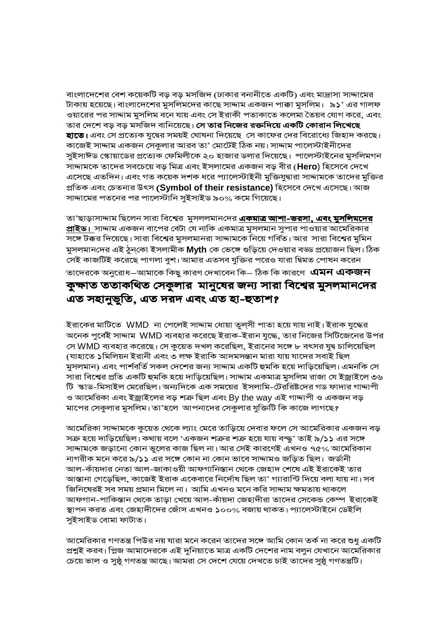বাংলাদেশের বেশ কয়েকটি বড় বড় মসজিদ (ঢাকার বনানীতে একটি) এবং মাদ্রাসা সাদ্দামের টাকায় হয়েছে। বাংলাদেশের মুসলিমদের কাছে সাদ্দাম একজন পাক্কা মুসলিম। ৯১' এর গালফ ওয়ারের পর সাদ্দাম মুসলিম বনে যায় এবং সে ইরাকী পতাকাতে কলেমা তৈয়ব যোগ করে, এবং তার দেশে বড় বড় মসজিদ বানিয়েছে। **সে তার নিজের রক্তদিয়ে একটি কোরান লিখেছে হাতে।** এবং সে প্রত্যেক যুদ্বের সময়ই ঘোষনা দিয়েছে সে কাফের দের বিরোধ্যে জিহাদ করছে। কাজেই সাদ্দাম একজন সেকুলার আরব তা' মোটেই ঠিক নয়। সাদ্দাম পালেস্টাইনীদের সুইসাঈড স্কোয়াডের প্রত্যেক ফেমিলীকে ২০ হাজার ডলার দিয়েছে। পালেস্টাইনের মুসলিমগন সাদ্দামকে তাদের সবচেয়ে বড় মিত্র এবং ইসলামের একজন বড় বীর (Hero) হিসেবে দেখে এসেছে এতদিন। এবং গত কয়েক দশক ধরে প্যালেস্টাইনী মুক্তিযুদ্বারা সাদ্দামকে তাদের মুক্তির প্রতিক এবং চেতনার উৎস (Symbol of their resistance) হিসেবে দেখে এসেছে। আজ সাদ্দামের পতনের পর পালেস্টানি সুইসাইড ৯০% কমে গিয়েছে।

তা'ছাড়াসাদ্দাম ছিলেন সারা বিশ্বের মুসললমানদের <u>এ**কমাত্র আশা-ভরসা, এবং মুসলিমদের**</u> <u>প্রা**ইড।** সা</u>দ্দাম একজন বাপের বেটা যে নাকি একমাত্র মুসলমান সুপার পাওয়ার আমেরিকার সঙ্গে টক্কর দিয়েছে। সারা বিশ্বের মুসলমানরা সাদ্দামকে নিয়ে গর্বিত। আর সারা বিশ্বের মুমিন মুসলমানদের এই ঠুন্কো ইসলামীক **Myth** কে ভেঙ্গে গুড়িয়ে দেওয়ার বড্ড প্রয়োজন ছিল। ঠিক সেই কাজটিই করেছে পাগলা বুশ। আমার এতসব যুক্তির পরেও যারা দ্বিমত পোষন করেন তাদেরকে অনুরোধ–আমাকে কিছু কারণ দেখাবেন কি– ঠিক কি কারণে **এমন একজন** কুক্ষাত ততাকথিত সেকুলার মানুষের জন্য সারা বিশ্বের মুসলমানদের এত সহানুভুতি, এত দরদ এবং এত হা-হুতাশ?

ইরাকের মাটিতে WMD না পেলেই সাদ্দাম ধোয়া তুল্সী পাতা হয়ে যায় নাই। ইরাক যুদ্ধের অনেক পুর্বেই সাদ্দাম WMD ব্যবহার করেছে ইরাক-ইরান যুদ্ধে, তার নিজের সিটিজেনের উপর সে WMD ব্যবহার করেছে। সে কুয়েত দখল করেছিল, ইরানের সঙ্গে ৮ বৎসর যুদ্ব চালিয়েছিল (যাহাতে ১মিলিয়ন ইরানী এবং ৩ লক্ষ ইরাকি আদমসন্তান মারা যায় যাদের সবাই ছিল মুসলমান) এবং পার্শবর্তি সকল দেশের জন্য সাদ্দাম একটি হুমকি হয়ে দাড়িয়েছিল। এমনকি সে সারা বিশ্বের প্রতি একটি হুমকি হয়ে দাড়িয়েছিল। সাদ্দাম একমাত্র মুসলিম রাজা যে ইজ্রাইলে ৩৬ টি স্কাড-মিসাইল মেরেছিল। অন্যদিকে এক সময়ের ইসলামি-টেররিষ্টদের গড ফাদার গাদ্দাপী ও আমেরিকা এবং ইজ্রাইলের বড় শত্রু ছিল এবং By the way এই গাদ্দাপী ও একজন বড় মাপের সেকুলার মুসলিম। তা'হলে আপনাদের সেকুলার যুক্তিটি কি কাজে লাগছে?

আমেরিকা সাদ্দামকে কুয়েত থেকে ল্যাং মেরে তাড়িয়ে দেবার ফলে সে আমেরিকার একজন বড় সক্র হয়ে দাড়িয়েছিল। কথায় বলে 'একজন শত্রুর শত্রু হয়ে যায় বন্দ্ধু' তাই ৯/১১ এর সঙ্গে সাদ্দামকে জড়ানো কোন ভুলের কাজ ছিল না। আর সেই কারণেই এখনও ৭৫% আমেরিকান নাগরীক মনে করে ৯/১১ এর সঙ্গে কোন না কোন ভাবে সাদ্দামও জড়িত ছিল। জর্ডানী আল-কাঁয়দার নেতা আল-জাকাওয়ী আফগানিস্তান থেকে জেহাদ শেষে এই ইরাকেই তার আস্তানা গেড়েছিল, কাজেই ইরাক একেবারে নির্দোষ ছিল তা' গ্যারান্টি দিয়ে বলা যায় না। সব জিনিষেরই সব সময় প্রমান মিলে না। আমি এখনও মনে করি সাদ্দাম ক্ষমতায় থাকলে আফগান-পাকিস্তান থেকে তাড়া খেয়ে আল-কাঁয়দা জেহাদীরা তাদের সেকেন্ড কেম্প ইরাকেই স্থাপন করত এবং জেহাদীদের জোঁস এখনও ১০০% বজায় থাকত। প্যালেস্টাইনে ডেইলি সুইসাইড বোমা ফাটাত।

আমেরিকার গণতন্ত্র পিউর নয় যারা মনে করেন তাদের সঙ্গে আমি কোন তর্ক না করে শুধু একটি প্রশ্নই করব। প্লিজ আমাদেরকে এই দুনিয়াতে মাত্র একটি দেশের নাম বলুন যেখানে আমেরিকার চেয়ে ভাল ও সুষ্ঠূ গণতন্ত্র আছে। আমরা সে দেশে যেয়ে দেখতে চাই তাদের সুষ্ঠূ গণতন্ত্রটি।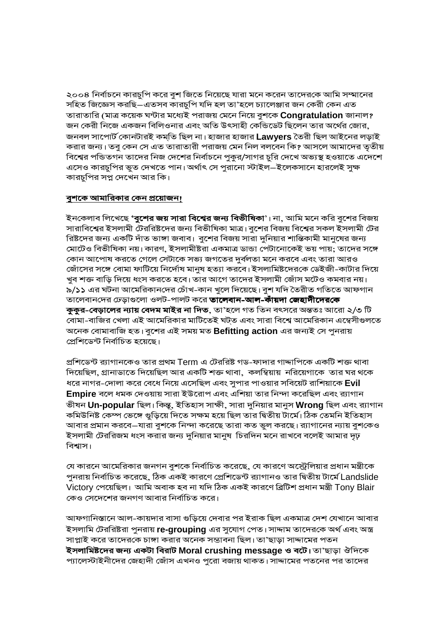২০০৪ নির্বাচনে কারচুপি করে বুশ জিতে নিয়েছে যারা মনে করেন তাদেরকে আমি সম্মানের সহিত জিজ্ঞেস করছি–এতসব কারচুপি যদি হল তা'হলে চ্যালেঞ্জার জন কেরী কেন এত তারাতারি (মাত্র কয়েক ঘন্টার মধ্যেই পরাজয় মেনে নিয়ে বুশকে Congratulation জানাল? জন কেরী নিজে একজন বিলিওনার এবং অতি উৎসাহী কেন্ডিডেট ছিলেন তার অর্থের জোর, জনবল সাপোর্ট কোনটারই কম্তি ছিল না। হাজার হাজার Lawyers তৈরী ছিল আইনের লড়াই করার জন্য। তবু কেন সে এত তারাতারী পরাজয় মেন নিল বলবেন কি? আসলে আমাদের তৃতীয় বিশ্বের পভিতগন তাদের নিজ দেশের নির্বাচনে পুকুর/সাগর চুরি দেখে অভ্যস্থ হওয়াতে এদেশে এসেও কারচুপির ভুত দেখতে পান। অর্থাৎ সে পুরানো স্টাইল–ইলেকসানে হারলেই সুক্ষ কারচুপির সপ্ন দেখেন আর কি।

#### <u> বুশকে আমারিকার কেন প্রয়োজন!</u>

ইনকেলাব লিখেছে **'বুশের জয় সারা বিশ্বের জন্য বিভীষিকা**'। না, আমি মনে করি বুশের বিজয় সারাবিশ্বের ইসলামী টেররিষ্টদের জন্য বিভীষিকা মাত্র। বুশের বিজয় বিশ্বের সকল ইসলামী টের রিষ্টদের জন্য একটি দাঁত ভাঙ্গা জবাব। বুশের বিজয় সারা দুনিয়ার শান্তিকামী মানুষের জন্য মোটেও বিভীষিকা নয়। কারণ, ইসলামীষ্টরা একমাত্র ডান্ডা পেটানোকেই ভয় পায়; তাদের সঙ্গে কোন আপোষ করতে গেলে সেটাকে সভ্য জগতের দুর্বলতা মনে করবে এবং তারা আরও জোঁসের সঙ্গে বোমা ফাটিয়ে নির্দোষ মানুষ হত্যা করবে। ইসলামিষ্টদেরকে ডেইজী-কাটার দিয়ে খুব শক্ত বাড়ি দিয়ে ধংস করতে হবে। তার আগে তাদের ইসলামী জোঁস মটেও কমবার নয়। ৯/১১ এর ঘটনা আমেরিকানদের চোঁখ-কান খুলে দিয়েছে। বুশ যদি তৈরীত গতিতে আফগান তালেবানদের ঢেড়াগুলো ওলট-পালট করে **তালেবান-আল-কাঁয়দা জেহাদীদেরকে কুকুর-বেড়ালের ন্যায় বেদম মাইর না দিত**, তা'হলে গত তিন বৎসরে অন্ততঃ আরো ২/৩ টি বোমা-বাজির খেলা এই আমেরিকার মাটিতেই ঘট্ত এবং সারা বিশ্বে আমেরিকান এম্বেসীগুলতে অনেক বোমাবাজি হত। বুশের এই সময় মত Befitting action এর জন্যই সে পুনরায় প্ৰেশিডেন্ট নিৰ্বাচিত হয়েছে।

প্রশিডেন্ট র্যাগানকেও তার প্রথম Term এ টেররিষ্ট গড-ফাদার গাদ্দাপিকে একটি শক্ত থাবা দিয়েছিল, গ্রানাডাতে দিয়েছিল আর একটি শক্ত থাবা, কলম্বিয়ায় নরিয়েগাকে তার ঘর থকে ধরে নাগর-দোলা করে বেধে নিয়ে এসেছিল এবং সুপার পাওয়ার সবিয়েট রাশিয়াকে **Evil** Empire বলে ধমক দেওয়ায় সারা ইউরোপ এবং এশিয়া তার নিন্দা করেছিল এবং র্যাগান ভীষন **Un-popular** ছিল। কিন্তু, ইতিহাস সাক্ষী, সারা দুনিয়ার মানুস **Wrong** ছিল এবং র্যাগান কমিউনিষ্ট কেম্প ভেঙ্গে গ্রুড়িয়ে দিতে সক্ষম হয়ে ছিল তার দ্বিতীয় টার্মে। ঠিক তেমনি ইতিহাস আবার প্রমান করবে–যারা বুশকে নিন্দা করেছে তারা কত ভুল করছে। র্যাগানের ন্যায় বুশকেও ইসলামী টেররিজম ধংস করার জন্য দুনিয়ার মানুষ চিরদিন মনে রাখবে বলেই আমার দৃঢ় বিশ্বাস।

যে কারনে আমেরিকার জনগন বুশকে নির্বাচিত করেছে, যে কারণে অস্ট্রেলিয়ার প্রধান মন্ত্রীকে পুনরায় নির্বাচিত করেছে, ঠিক একই কারণে প্রেশিডেন্ট র্যাগানও তার দ্বিতীয় টার্মে Landslide Victory পেয়েছিল। আমি অবাক হব না যদি ঠিক একই কারণে ব্রিটিশ প্রধান মন্ত্রী Tony Blair কেও সেদেশের জনগণ আবার নির্বাচিত করে।

আফগানিস্তানে আল-কায়দার বাসা গুড়িয়ে দেবার পর ইরাক ছিল একমাত্র দেশ যেখানে আবার ইসলামি টেররিষ্টরা পুনরায় **re-grouping** এর সুযোগ পেত। সাদ্দাম তাদেরকে অর্থ এবং অস্ত্র সাপ্লাই করে তাদেরকে চাঙ্গা করার অনেক সম্ভাবনা ছিল। তা'ছাড়া সাদ্দামের পতন ইসলামিষ্টদের জন্য একটা বিরাট Moral crushing message ও বটে। তা'ছাড়া ঔদিকে প্যালেস্টাইনীদের জেহাদী জোঁস এখনও পুরো বজায় থাকত। সাদ্দামের পতনের পর তাদের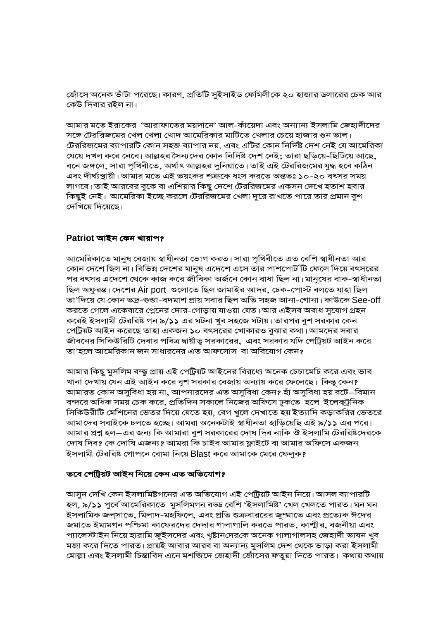জোঁসে অনেক ভাঁটা পরেছে। কারণ, প্রতিটি সুইসাইড ফেমিলীকে ২০ হাজার ডলারের চেক আর কেউ দিবার রইল না।

আমার মতে ইরাকের 'আরাফাতের ময়দানে' আল-কাঁয়েদা এবং অন্যান্য ইসলামি জেহাদীদের সঙ্গে টেররিজমের খেল খেলা খোদ আমেরিকার মাটিতে খেলার চেয়ে হাজার গুন ভাল। টেররিজমের ব্যাপারটি কোন সহজ ব্যাপার নয়, এবং এটির কোন নির্দিষ্ট দেশ নেই যে আমেরিকা যেয়ে দখল করে নেবে। আল্লহর সৈন্যদের কোন নির্দিষ্ট দেশ নেই; তারা ছড়িয়ে-ছিটিয়ে আছে, বনে জঙ্গলে, সারা পৃথিবীতে, অর্থাৎ আল্লহর দুনিয়াতে। তাই এই টেররিজমের যুদ্ধ হবে কঠিন এবং দীর্ঘ্যস্থায়ী। আমার মতে এই ভয়ংকর শত্রুকে ধংস করতে অন্ততঃ ১০-২০ বৎসর সময় লাগবে। তাই আরবের বুকে বা এশিয়ার কিছু দেশে টেররিজমের একসন দেখে হতাশ হবার কিছুই নেই। আমেরিকা ইচ্ছে করলে টেররিজমের খেলা দুরে রাখতে পারে তার প্রমান বুশ দেখিয়ে দিয়েছে।

## Patriot আইন কেন খারাপ?

আমেরিকাতে মানুষ বেজায় স্বাধীনতা ভোগ করত। সারা পৃথিবীতে এত বেশি স্বাধীনতা আর কোন দেশে ছিল না। বিভিন্ন দেশের মানুষ এদেশে এসে তার পাশপোর্ট টি ফেলে দিয়ে বৎসরের পর বৎসর এদেশে থেকে কাজ করে জীবিকা অর্জনে কোন বাধা ছিল না। মানুষের বাক-স্বাধীনতা ছিল অফুরন্ত। দেশের Air port গুলোতে ছিল জামাইর আদর, চেক-পোস্ট বলতে যাহা ছিল তা'দিয়ে যে কোন ভদ্র-গুন্ডা-বদমাশ প্রায় সবার ছিল অতি সহজ আনা-গোনা। কাউকে See-off করতে গেলে একেবারে প্লেনের দোর-গোড়ায় যাওয়া যেত। আর এইসব অবাধ সুযোগ গ্রহন করেই ইসলামী টেররিষ্ট গন ৯/১১ এর ঘটনা খুব সহজে ঘটায়। তারপর বুশ সরকার কেন পেট্রিয়ট আইন করেছে তাহা একজন ১০ বৎসরের খোকারও বুঝার কথা। আমদের সবার জীবনের সিকিউরিটি দেবার পবিত্র দ্বায়ীত্ব সরকারের, এবং সরকার যদি পেট্রিয়ট আইন করে তা'হলে আমেরিকান জন সাধারনের এত আফসোস বা অবিযোগ কেন?

আমার কিছু মুসলিম বন্দ্ধু প্রায় এই পেট্রিয়ট আইনের বিরধ্যে অনেক চেচামেচি করে এবং ভাব খানা দেখায় যেন এই আইন করে বুশ সরকার বেজায় অন্যায় করে ফেলেছে। কিন্তু কেন? আমারত কোন অসুবিধা হয় না, আপনারদের এত অসুবিধা কেন? হাঁ অসুবিধা হয় বটে–বিমান বন্দরে অধিক সময় চেক করে, প্রতিদিন সকালে নিজের অফিসে ঢুকতে হলে ইলেক্ট্রনিক সিকিউরীটি মেশিনের ভেতর দিয়ে যেতে হয়, বেগ খুলে দেখাতে হয় ইত্যাদি কড়াকরির ভেতরে আমাদের সবাইকে চলতে হচ্ছে। আমরা অনেকটাই স্বাধীনতা হাড়িয়েছি এই ৯/১১ এর পরে। আমার প্রশ্ন হল–এর জন্য কি আমারা বুশ সরকারের দোষ দিব নাকি ঔ ইসলামি টেররিষ্টদেরকে দোষ দিব? কে দোষি এজন্য? আমরা কি চাইব আমার ফ্লাইটে বা আমার অফিসে একজন ইসলামী টেররিষ্ট গোপনে বোমা নিয়ে Blast করে আমাকে মেরে ফেলুক?

#### তবে পেট্রিয়ট আইন নিয়ে কেন এত অভিযোগ?

আসুন দেখি কেন ইসলামিষ্টগনের এত অভিযোগ এই পেট্রিয়ট আইন নিয়ে। আসল ব্যাপারটি হল, ৯/১১ পুর্বে আমেরিকাতে মুসলিমগন বড্ড বেশি 'ইসলামিষ্ট' খেল খেলতে পারত। ঘন ঘন ইসলামিক জল্সাতে, মিলাদ-মহফিলে, এবং প্রতি শুক্রবাররের জুম্মাতে এবং প্রত্যেক ঈদের জমাতে ইমামগন পশ্চিমা কাফেরদের দেদার গালাগালি করতে পারত, কাশ্মীর, বজনীয়া এবং প্যালেস্টাইন নিয়ে হারামি জুইসদের এবং খৃষ্টানদেরকে অনেক গালাগালসহ জেহাদী ভাষন খুব মজা করে দিতে পারত। প্রায়ই আবার আরব বা অন্যান্য মুসলিম দেশ থেকে ভাড়া করা ইসলামী মোল্লা এবং ইসলামী চিন্তাবিদ এনে মশজিদে জেহাদী জোঁসের ফতুয়া দিতে পারত। কথায় কথায়